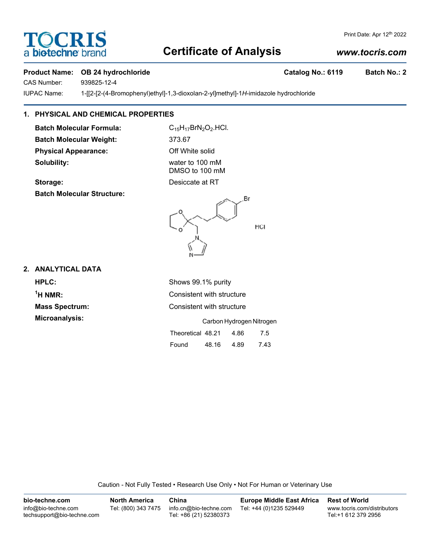# **TOCRIS** a biotechne b

## Print Date: Apr 12th 2022

# **Certificate of Analysis**

# *www.tocris.com*

# **Product Name: OB 24 hydrochloride Catalog No.: 6119 Batch No.: 2**

CAS Number: 939825-12-4

IUPAC Name: 1-[[2-[2-(4-Bromophenyl)ethyl]-1,3-dioxolan-2-yl]methyl]-1*H*-imidazole hydrochloride

# **1. PHYSICAL AND CHEMICAL PROPERTIES**

**Batch Molecular Formula:** C<sub>15</sub>H<sub>17</sub>BrN<sub>2</sub>O<sub>2</sub>.HCl. **Batch Molecular Weight:** 373.67 **Physical Appearance:** Off White solid **Solubility:** water to 100 mM

DMSO to 100 mM **Storage:** Desiccate at RT

**Batch Molecular Structure:**



# **2. ANALYTICAL DATA**

**HPLC:** Shows 99.1% purity <sup>1</sup>H NMR: **Microanalysis:** 

**Consistent with structure Mass Spectrum:** Consistent with structure

|                   |       | Carbon Hydrogen Nitrogen |      |
|-------------------|-------|--------------------------|------|
| Theoretical 48.21 |       | 4.86                     | 7.5  |
| Found             | 48.16 | 4.89                     | 7.43 |

Caution - Not Fully Tested • Research Use Only • Not For Human or Veterinary Use

| bio-techne.com                                    | <b>North America</b> | China                                            | <b>Europe Middle East Africa</b> | <b>Rest of World</b>                               |
|---------------------------------------------------|----------------------|--------------------------------------------------|----------------------------------|----------------------------------------------------|
| info@bio-techne.com<br>techsupport@bio-techne.com | Tel: (800) 343 7475  | info.cn@bio-techne.com<br>Tel: +86 (21) 52380373 | Tel: +44 (0)1235 529449          | www.tocris.com/distributors<br>Tel:+1 612 379 2956 |